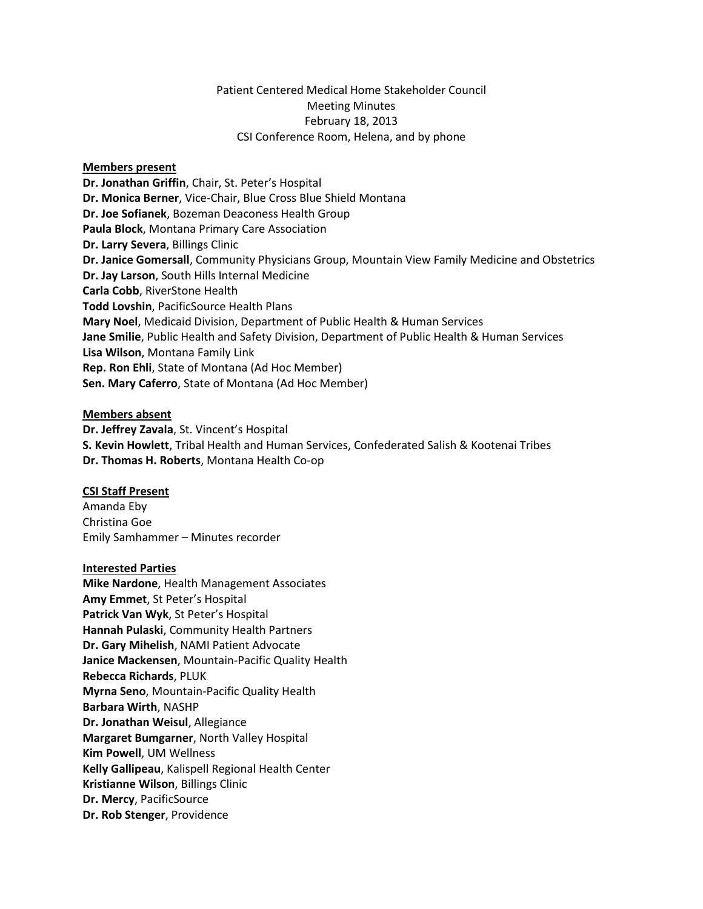### Patient Centered Medical Home Stakeholder Council Meeting Minutes February 18, 2013 CSI Conference Room, Helena, and by phone

### **Members present**

**Dr. Jonathan Griffin**, Chair, St. Peter's Hospital **Dr. Monica Berner**, Vice-Chair, Blue Cross Blue Shield Montana **Dr. Joe Sofianek**, Bozeman Deaconess Health Group **Paula Block**, Montana Primary Care Association **Dr. Larry Severa**, Billings Clinic **Dr. Janice Gomersall**, Community Physicians Group, Mountain View Family Medicine and Obstetrics **Dr. Jay Larson**, South Hills Internal Medicine **Carla Cobb**, RiverStone Health **Todd Lovshin**, PacificSource Health Plans **Mary Noel**, Medicaid Division, Department of Public Health & Human Services **Jane Smilie**, Public Health and Safety Division, Department of Public Health & Human Services **Lisa Wilson**, Montana Family Link **Rep. Ron Ehli**, State of Montana (Ad Hoc Member) **Sen. Mary Caferro**, State of Montana (Ad Hoc Member)

### **Members absent**

**Dr. Jeffrey Zavala**, St. Vincent's Hospital **S. Kevin Howlett**, Tribal Health and Human Services, Confederated Salish & Kootenai Tribes **Dr. Thomas H. Roberts**, Montana Health Co-op

#### **CSI Staff Present**

Amanda Eby Christina Goe Emily Samhammer – Minutes recorder

### **Interested Parties**

**Mike Nardone**, Health Management Associates **Amy Emmet**, St Peter's Hospital **Patrick Van Wyk**, St Peter's Hospital **Hannah Pulaski**, Community Health Partners **Dr. Gary Mihelish**, NAMI Patient Advocate **Janice Mackensen**, Mountain-Pacific Quality Health **Rebecca Richards**, PLUK **Myrna Seno**, Mountain-Pacific Quality Health **Barbara Wirth**, NASHP **Dr. Jonathan Weisul**, Allegiance **Margaret Bumgarner**, North Valley Hospital **Kim Powell**, UM Wellness **Kelly Gallipeau**, Kalispell Regional Health Center **Kristianne Wilson**, Billings Clinic **Dr. Mercy**, PacificSource **Dr. Rob Stenger**, Providence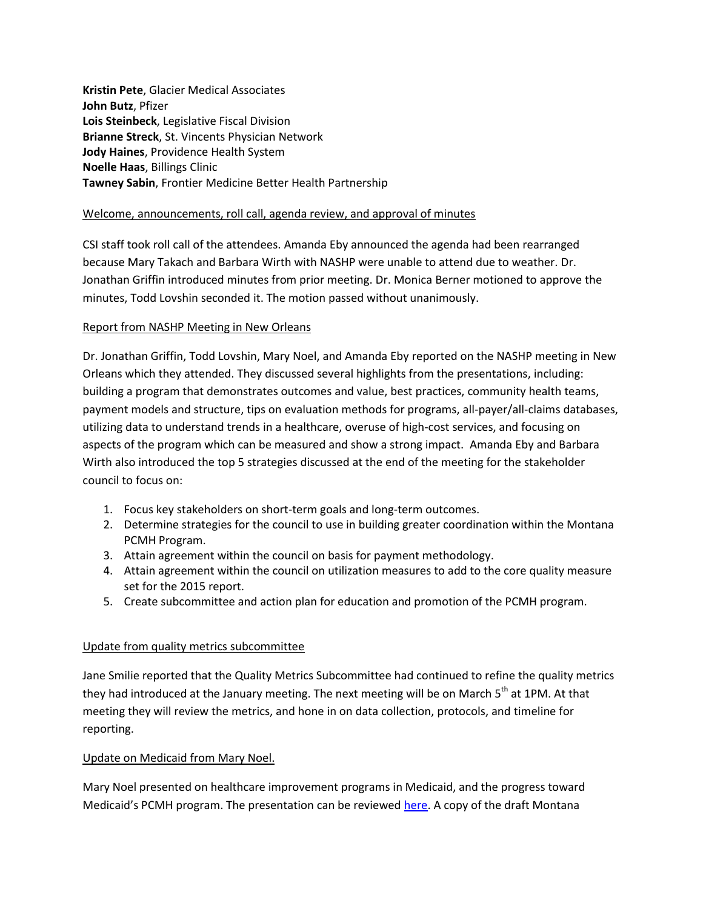**Kristin Pete**, Glacier Medical Associates **John Butz**, Pfizer **Lois Steinbeck**, Legislative Fiscal Division **Brianne Streck**, St. Vincents Physician Network **Jody Haines**, Providence Health System **Noelle Haas**, Billings Clinic **Tawney Sabin**, Frontier Medicine Better Health Partnership

### Welcome, announcements, roll call, agenda review, and approval of minutes

CSI staff took roll call of the attendees. Amanda Eby announced the agenda had been rearranged because Mary Takach and Barbara Wirth with NASHP were unable to attend due to weather. Dr. Jonathan Griffin introduced minutes from prior meeting. Dr. Monica Berner motioned to approve the minutes, Todd Lovshin seconded it. The motion passed without unanimously.

### Report from NASHP Meeting in New Orleans

Dr. Jonathan Griffin, Todd Lovshin, Mary Noel, and Amanda Eby reported on the NASHP meeting in New Orleans which they attended. They discussed several highlights from the presentations, including: building a program that demonstrates outcomes and value, best practices, community health teams, payment models and structure, tips on evaluation methods for programs, all-payer/all-claims databases, utilizing data to understand trends in a healthcare, overuse of high-cost services, and focusing on aspects of the program which can be measured and show a strong impact. Amanda Eby and Barbara Wirth also introduced the top 5 strategies discussed at the end of the meeting for the stakeholder council to focus on:

- 1. Focus key stakeholders on short-term goals and long-term outcomes.
- 2. Determine strategies for the council to use in building greater coordination within the Montana PCMH Program.
- 3. Attain agreement within the council on basis for payment methodology.
- 4. Attain agreement within the council on utilization measures to add to the core quality measure set for the 2015 report.
- 5. Create subcommittee and action plan for education and promotion of the PCMH program.

### Update from quality metrics subcommittee

Jane Smilie reported that the Quality Metrics Subcommittee had continued to refine the quality metrics they had introduced at the January meeting. The next meeting will be on March 5<sup>th</sup> at 1PM. At that meeting they will review the metrics, and hone in on data collection, protocols, and timeline for reporting.

### Update on Medicaid from Mary Noel.

Mary Noel presented on healthcare improvement programs in Medicaid, and the progress toward Medicaid's PCMH program. The presentation can be reviewed [here.](http://www.csi.mt.gov/medicalhomes/StakeholderCouncil/02192014Meeting/MedicaidPresentation.pdf) A copy of the draft Montana